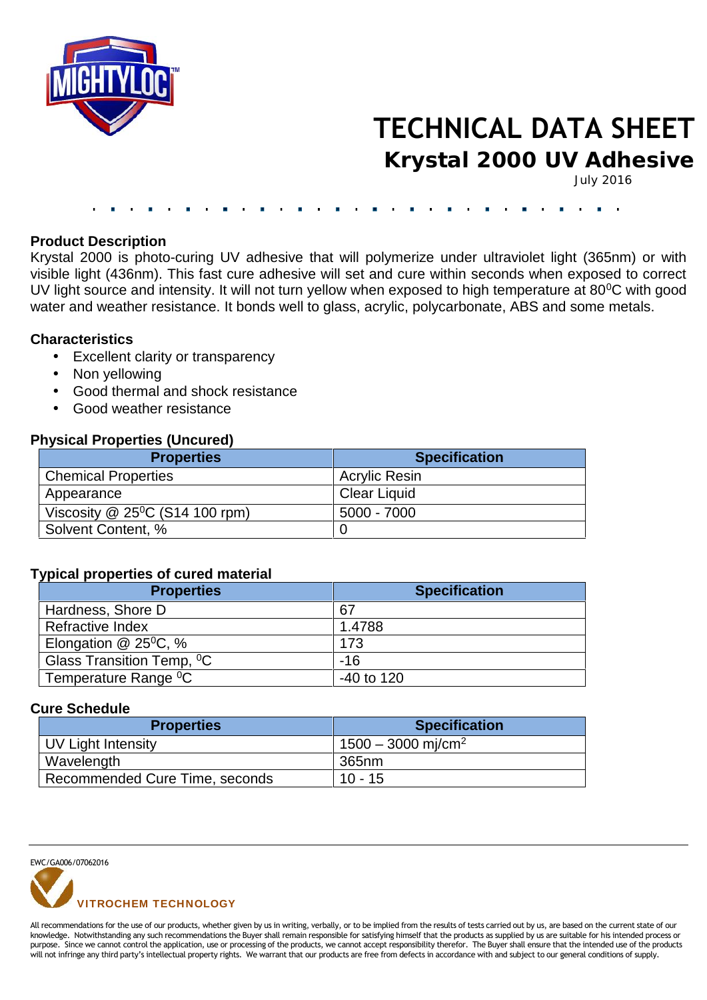

# **TECHNICAL DATA SHEET**

**Krystal 2000 UV Adhesive**

July 2016

### **Product Description**

Krystal 2000 is photo-curing UV adhesive that will polymerize under ultraviolet light (365nm) or with visible light (436nm). This fast cure adhesive will set and cure within seconds when exposed to correct UV light source and intensity. It will not turn yellow when exposed to high temperature at 80<sup>°</sup>C with good water and weather resistance. It bonds well to glass, acrylic, polycarbonate, ABS and some metals.

## **Characteristics**

- Excellent clarity or transparency
- Non yellowing
- Good thermal and shock resistance
- Good weather resistance

## **Physical Properties (Uncured)**

| <b>Properties</b>                             | <b>Specification</b> |
|-----------------------------------------------|----------------------|
| <b>Chemical Properties</b>                    | <b>Acrylic Resin</b> |
| Appearance                                    | <b>Clear Liquid</b>  |
| Viscosity $@$ 25 <sup>o</sup> C (S14 100 rpm) | $5000 - 7000$        |
| Solvent Content, %                            |                      |

#### **Typical properties of cured material**

| <b>Properties</b>                     | <b>Specification</b> |
|---------------------------------------|----------------------|
| Hardness, Shore D                     | 67                   |
| Refractive Index                      | 1.4788               |
| Elongation $@$ 25 <sup>0</sup> C, %   | 173                  |
| Glass Transition Temp, <sup>o</sup> C | $-16$                |
| Temperature Range <sup>0</sup> C      | $-40$ to 120         |

### **Cure Schedule**

| <b>Properties</b>              | <b>Specification</b>             |
|--------------------------------|----------------------------------|
| UV Light Intensity             | $1500 - 3000$ mj/cm <sup>2</sup> |
| Wavelength                     | 365nm                            |
| Recommended Cure Time, seconds | $10 - 15$                        |

EWC/GA006/07062016



All recommendations for the use of our products, whether given by us in writing, verbally, or to be implied from the results of tests carried out by us, are based on the current state of our knowledge. Notwithstanding any such recommendations the Buyer shall remain responsible for satisfying himself that the products as supplied by us are suitable for his intended process or purpose. Since we cannot control the application, use or processing of the products, we cannot accept responsibility therefor. The Buyer shall ensure that the intended use of the products will not infringe any third party's intellectual property rights. We warrant that our products are free from defects in accordance with and subject to our general conditions of supply.